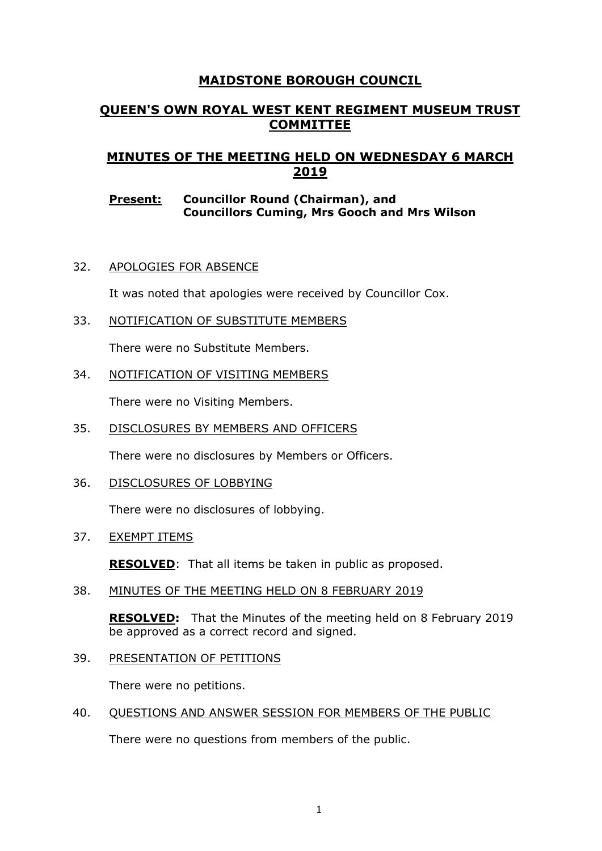## **MAIDSTONE BOROUGH COUNCIL**

## **QUEEN'S OWN ROYAL WEST KENT REGIMENT MUSEUM TRUST COMMITTEE**

# **MINUTES OF THE MEETING HELD ON WEDNESDAY 6 MARCH 2019**

### **Present: Councillor Round (Chairman), and Councillors Cuming, Mrs Gooch and Mrs Wilson**

32. APOLOGIES FOR ABSENCE

It was noted that apologies were received by Councillor Cox.

33. NOTIFICATION OF SUBSTITUTE MEMBERS

There were no Substitute Members.

34. NOTIFICATION OF VISITING MEMBERS

There were no Visiting Members.

35. DISCLOSURES BY MEMBERS AND OFFICERS

There were no disclosures by Members or Officers.

36. DISCLOSURES OF LOBBYING

There were no disclosures of lobbying.

37. EXEMPT ITEMS

**RESOLVED**: That all items be taken in public as proposed.

38. MINUTES OF THE MEETING HELD ON 8 FEBRUARY 2019

**RESOLVED:** That the Minutes of the meeting held on 8 February 2019 be approved as a correct record and signed.

39. PRESENTATION OF PETITIONS

There were no petitions.

40. QUESTIONS AND ANSWER SESSION FOR MEMBERS OF THE PUBLIC

There were no questions from members of the public.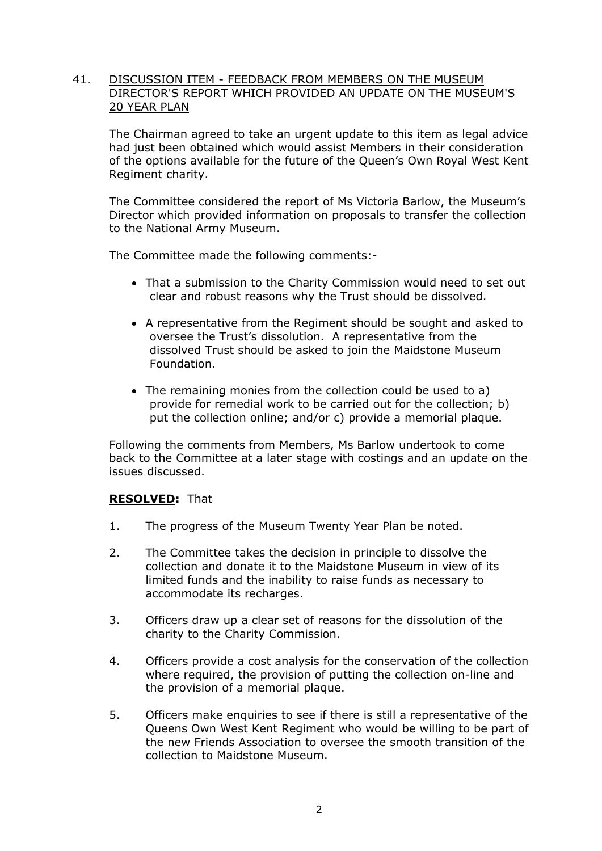### 41. DISCUSSION ITEM - FEEDBACK FROM MEMBERS ON THE MUSEUM DIRECTOR'S REPORT WHICH PROVIDED AN UPDATE ON THE MUSEUM'S 20 YEAR PLAN

The Chairman agreed to take an urgent update to this item as legal advice had just been obtained which would assist Members in their consideration of the options available for the future of the Queen's Own Royal West Kent Regiment charity.

The Committee considered the report of Ms Victoria Barlow, the Museum's Director which provided information on proposals to transfer the collection to the National Army Museum.

The Committee made the following comments:-

- That a submission to the Charity Commission would need to set out clear and robust reasons why the Trust should be dissolved.
- A representative from the Regiment should be sought and asked to oversee the Trust's dissolution. A representative from the dissolved Trust should be asked to join the Maidstone Museum Foundation.
- The remaining monies from the collection could be used to a) provide for remedial work to be carried out for the collection; b) put the collection online; and/or c) provide a memorial plaque.

Following the comments from Members, Ms Barlow undertook to come back to the Committee at a later stage with costings and an update on the issues discussed.

### **RESOLVED:** That

- 1. The progress of the Museum Twenty Year Plan be noted.
- 2. The Committee takes the decision in principle to dissolve the collection and donate it to the Maidstone Museum in view of its limited funds and the inability to raise funds as necessary to accommodate its recharges.
- 3. Officers draw up a clear set of reasons for the dissolution of the charity to the Charity Commission.
- 4. Officers provide a cost analysis for the conservation of the collection where required, the provision of putting the collection on-line and the provision of a memorial plaque.
- 5. Officers make enquiries to see if there is still a representative of the Queens Own West Kent Regiment who would be willing to be part of the new Friends Association to oversee the smooth transition of the collection to Maidstone Museum.